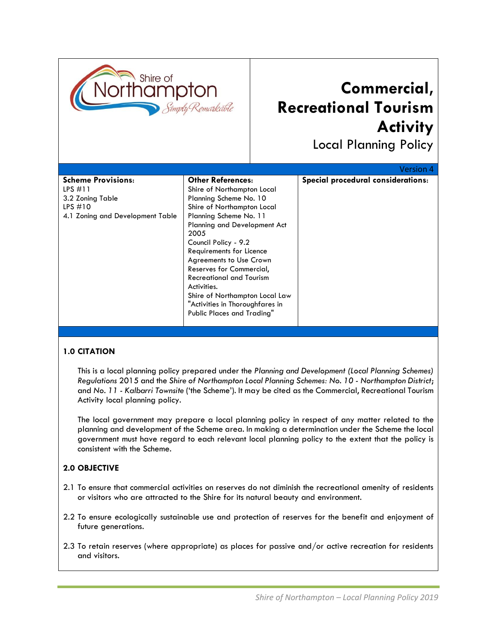

# **Commercial, Recreational Tourism Activity**

Local Planning Policy

|                                  |                                 | <b>Version 4</b>                   |
|----------------------------------|---------------------------------|------------------------------------|
| <b>Scheme Provisions:</b>        | <b>Other References:</b>        | Special procedural considerations: |
| LPS $\#11$                       | Shire of Northampton Local      |                                    |
| 3.2 Zoning Table                 | Planning Scheme No. 10          |                                    |
| LPS $#10$                        | Shire of Northampton Local      |                                    |
| 4.1 Zoning and Development Table | Planning Scheme No. 11          |                                    |
|                                  | Planning and Development Act    |                                    |
|                                  | 2005                            |                                    |
|                                  | Council Policy - 9.2            |                                    |
|                                  | Requirements for Licence        |                                    |
|                                  | <b>Agreements to Use Crown</b>  |                                    |
|                                  | Reserves for Commercial,        |                                    |
|                                  | <b>Recreational and Tourism</b> |                                    |
|                                  | Activities.                     |                                    |
|                                  | Shire of Northampton Local Law  |                                    |
|                                  | "Activities in Thoroughfares in |                                    |
|                                  | Public Places and Trading"      |                                    |
|                                  |                                 |                                    |

# **1.0 CITATION**

This is a local planning policy prepared under the *Planning and Development (Local Planning Schemes) Regulations* 2015 and the *Shire of Northampton Local Planning Schemes: No. 10 - Northampton District*; and *No. 11 - Kalbarri Townsite* ('the Scheme'). It may be cited as the Commercial, Recreational Tourism Activity local planning policy.

The local government may prepare a local planning policy in respect of any matter related to the planning and development of the Scheme area. In making a determination under the Scheme the local government must have regard to each relevant local planning policy to the extent that the policy is consistent with the Scheme.

#### **2.0 OBJECTIVE**

- 2.1 To ensure that commercial activities on reserves do not diminish the recreational amenity of residents or visitors who are attracted to the Shire for its natural beauty and environment.
- 2.2 To ensure ecologically sustainable use and protection of reserves for the benefit and enjoyment of future generations.
- 2.3 To retain reserves (where appropriate) as places for passive and/or active recreation for residents and visitors.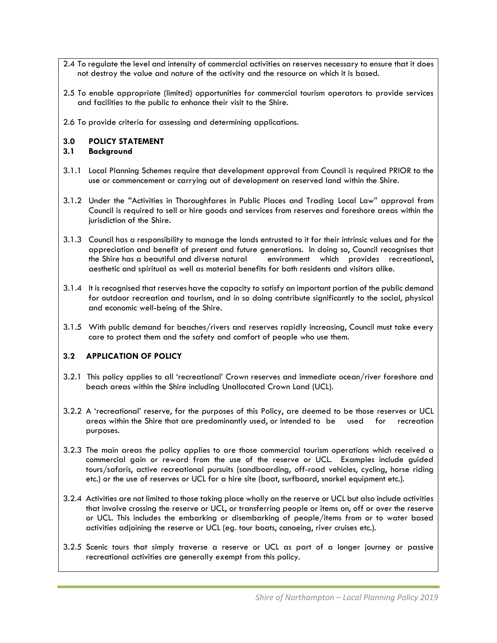- 2.4 To regulate the level and intensity of commercial activities on reserves necessary to ensure that it does not destroy the value and nature of the activity and the resource on which it is based.
- 2.5 To enable appropriate (limited) opportunities for commercial tourism operators to provide services and facilities to the public to enhance their visit to the Shire.
- 2.6 To provide criteria for assessing and determining applications.

# **3.0 POLICY STATEMENT**

#### **3.1 Background**

- 3.1.1 Local Planning Schemes require that development approval from Council is required PRIOR to the use or commencement or carrying out of development on reserved land within the Shire.
- 3.1.2 Under the "Activities in Thoroughfares in Public Places and Trading Local Law" approval from Council is required to sell or hire goods and services from reserves and foreshore areas within the jurisdiction of the Shire.
- 3.1.3 Council has a responsibility to manage the lands entrusted to it for their intrinsic values and for the appreciation and benefit of present and future generations. In doing so, Council recognises that the Shire has a beautiful and diverse natural environment which provides recreational, aesthetic and spiritual as well as material benefits for both residents and visitors alike.
- 3.1.4 It is recognised that reserves have the capacity to satisfy an important portion of the public demand for outdoor recreation and tourism, and in so doing contribute significantly to the social, physical and economic well-being of the Shire.
- 3.1.5 With public demand for beaches/rivers and reserves rapidly increasing, Council must take every care to protect them and the safety and comfort of people who use them.

# **3.2 APPLICATION OF POLICY**

- 3.2.1 This policy applies to all 'recreational' Crown reserves and immediate ocean/river foreshore and beach areas within the Shire including Unallocated Crown Land (UCL).
- 3.2.2 A 'recreational' reserve, for the purposes of this Policy, are deemed to be those reserves or UCL areas within the Shire that are predominantly used, or intended to be used for recreation purposes.
- 3.2.3 The main areas the policy applies to are those commercial tourism operations which received a commercial gain or reward from the use of the reserve or UCL. Examples include guided tours/safaris, active recreational pursuits (sandboarding, off-road vehicles, cycling, horse riding etc.) or the use of reserves or UCL for a hire site (boat, surfboard, snorkel equipment etc.).
- 3.2.4 Activities are not limited to those taking place wholly on the reserve or UCL but also include activities that involve crossing the reserve or UCL, or transferring people or items on, off or over the reserve or UCL. This includes the embarking or disembarking of people/items from or to water based activities adjoining the reserve or UCL (eg. tour boats, canoeing, river cruises etc.).
- 3.2.5 Scenic tours that simply traverse a reserve or UCL as part of a longer journey or passive recreational activities are generally exempt from this policy.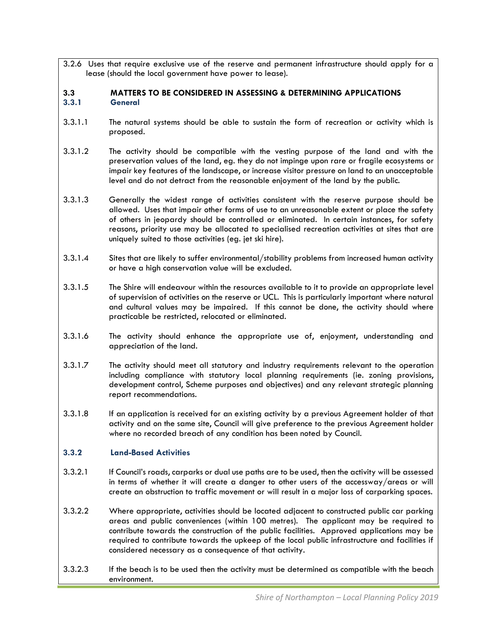3.2.6 Uses that require exclusive use of the reserve and permanent infrastructure should apply for a lease (should the local government have power to lease).

# **3.3 MATTERS TO BE CONSIDERED IN ASSESSING & DETERMINING APPLICATIONS 3.3.1 General**

- 3.3.1.1 The natural systems should be able to sustain the form of recreation or activity which is proposed.
- 3.3.1.2 The activity should be compatible with the vesting purpose of the land and with the preservation values of the land, eg. they do not impinge upon rare or fragile ecosystems or impair key features of the landscape, or increase visitor pressure on land to an unacceptable level and do not detract from the reasonable enjoyment of the land by the public.
- 3.3.1.3 Generally the widest range of activities consistent with the reserve purpose should be allowed. Uses that impair other forms of use to an unreasonable extent or place the safety of others in jeopardy should be controlled or eliminated. In certain instances, for safety reasons, priority use may be allocated to specialised recreation activities at sites that are uniquely suited to those activities (eg. jet ski hire).
- 3.3.1.4 Sites that are likely to suffer environmental/stability problems from increased human activity or have a high conservation value will be excluded.
- 3.3.1.5 The Shire will endeavour within the resources available to it to provide an appropriate level of supervision of activities on the reserve or UCL. This is particularly important where natural and cultural values may be impaired. If this cannot be done, the activity should where practicable be restricted, relocated or eliminated.
- 3.3.1.6 The activity should enhance the appropriate use of, enjoyment, understanding and appreciation of the land.
- 3.3.1.7 The activity should meet all statutory and industry requirements relevant to the operation including compliance with statutory local planning requirements (ie. zoning provisions, development control, Scheme purposes and objectives) and any relevant strategic planning report recommendations.
- 3.3.1.8 If an application is received for an existing activity by a previous Agreement holder of that activity and on the same site, Council will give preference to the previous Agreement holder where no recorded breach of any condition has been noted by Council.

# **3.3.2 Land-Based Activities**

- 3.3.2.1 If Council's roads, carparks or dual use paths are to be used, then the activity will be assessed in terms of whether it will create a danger to other users of the accessway/areas or will create an obstruction to traffic movement or will result in a major loss of carparking spaces.
- 3.3.2.2 Where appropriate, activities should be located adjacent to constructed public car parking areas and public conveniences (within 100 metres). The applicant may be required to contribute towards the construction of the public facilities. Approved applications may be required to contribute towards the upkeep of the local public infrastructure and facilities if considered necessary as a consequence of that activity.
- 3.3.2.3 If the beach is to be used then the activity must be determined as compatible with the beach environment.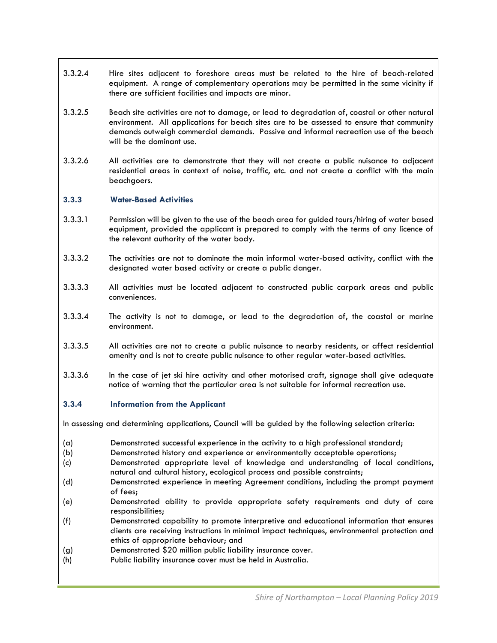- 3.3.2.4 Hire sites adjacent to foreshore areas must be related to the hire of beach-related equipment. A range of complementary operations may be permitted in the same vicinity if there are sufficient facilities and impacts are minor.
- 3.3.2.5 Beach site activities are not to damage, or lead to degradation of, coastal or other natural environment. All applications for beach sites are to be assessed to ensure that community demands outweigh commercial demands. Passive and informal recreation use of the beach will be the dominant use.
- 3.3.2.6 All activities are to demonstrate that they will not create a public nuisance to adjacent residential areas in context of noise, traffic, etc. and not create a conflict with the main beachgoers.

#### **3.3.3 Water-Based Activities**

- 3.3.3.1 Permission will be given to the use of the beach area for guided tours/hiring of water based equipment, provided the applicant is prepared to comply with the terms of any licence of the relevant authority of the water body.
- 3.3.3.2 The activities are not to dominate the main informal water-based activity, conflict with the designated water based activity or create a public danger.
- 3.3.3.3 All activities must be located adjacent to constructed public carpark areas and public conveniences.
- 3.3.3.4 The activity is not to damage, or lead to the degradation of, the coastal or marine environment.
- 3.3.3.5 All activities are not to create a public nuisance to nearby residents, or affect residential amenity and is not to create public nuisance to other regular water-based activities.
- 3.3.3.6 In the case of jet ski hire activity and other motorised craft, signage shall give adequate notice of warning that the particular area is not suitable for informal recreation use.

#### **3.3.4 Information from the Applicant**

In assessing and determining applications, Council will be guided by the following selection criteria:

- (a) Demonstrated successful experience in the activity to a high professional standard;
- (b) Demonstrated history and experience or environmentally acceptable operations;
- (c) Demonstrated appropriate level of knowledge and understanding of local conditions, natural and cultural history, ecological process and possible constraints;
- (d) Demonstrated experience in meeting Agreement conditions, including the prompt payment of fees;
- (e) Demonstrated ability to provide appropriate safety requirements and duty of care responsibilities;
- (f) Demonstrated capability to promote interpretive and educational information that ensures clients are receiving instructions in minimal impact techniques, environmental protection and ethics of appropriate behaviour; and
- (g) Demonstrated \$20 million public liability insurance cover.
- (h) Public liability insurance cover must be held in Australia.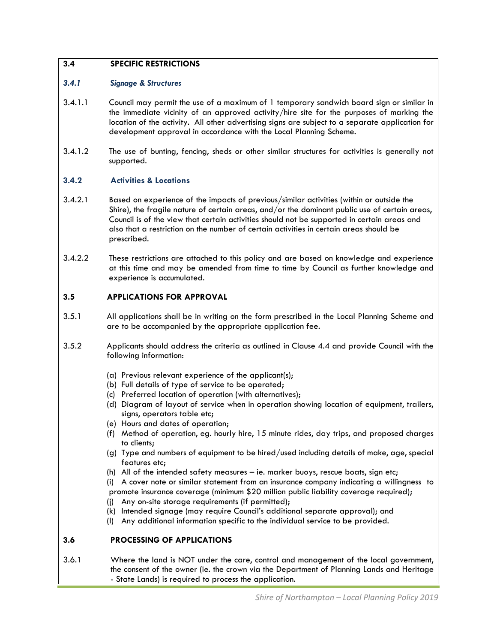# **3.4 SPECIFIC RESTRICTIONS**

#### *3.4.1 Signage & Structures*

- 3.4.1.1 Council may permit the use of a maximum of 1 temporary sandwich board sign or similar in the immediate vicinity of an approved activity/hire site for the purposes of marking the location of the activity. All other advertising signs are subject to a separate application for development approval in accordance with the Local Planning Scheme.
- 3.4.1.2 The use of bunting, fencing, sheds or other similar structures for activities is generally not supported.

# **3.4.2 Activities & Locations**

- 3.4.2.1 Based on experience of the impacts of previous/similar activities (within or outside the Shire), the fragile nature of certain areas, and/or the dominant public use of certain areas, Council is of the view that certain activities should not be supported in certain areas and also that a restriction on the number of certain activities in certain areas should be prescribed.
- 3.4.2.2 These restrictions are attached to this policy and are based on knowledge and experience at this time and may be amended from time to time by Council as further knowledge and experience is accumulated.

# **3.5 APPLICATIONS FOR APPROVAL**

- 3.5.1 All applications shall be in writing on the form prescribed in the Local Planning Scheme and are to be accompanied by the appropriate application fee.
- 3.5.2 Applicants should address the criteria as outlined in Clause 4.4 and provide Council with the following information:
	- (a) Previous relevant experience of the applicant(s);
	- (b) Full details of type of service to be operated;
	- (c) Preferred location of operation (with alternatives);
	- (d) Diagram of layout of service when in operation showing location of equipment, trailers, signs, operators table etc;
	- (e) Hours and dates of operation;
	- (f) Method of operation, eg. hourly hire, 15 minute rides, day trips, and proposed charges to clients;
	- (g) Type and numbers of equipment to be hired/used including details of make, age, special features etc;
	- (h) All of the intended safety measures ie. marker buoys, rescue boats, sign etc;

(i) A cover note or similar statement from an insurance company indicating a willingness to promote insurance coverage (minimum \$20 million public liability coverage required);

- (j) Any on-site storage requirements (if permitted);
- (k) Intended signage (may require Council's additional separate approval); and
- (l) Any additional information specific to the individual service to be provided.

#### **3.6 PROCESSING OF APPLICATIONS**

3.6.1 Where the land is NOT under the care, control and management of the local government, the consent of the owner (ie. the crown via the Department of Planning Lands and Heritage - State Lands) is required to process the application.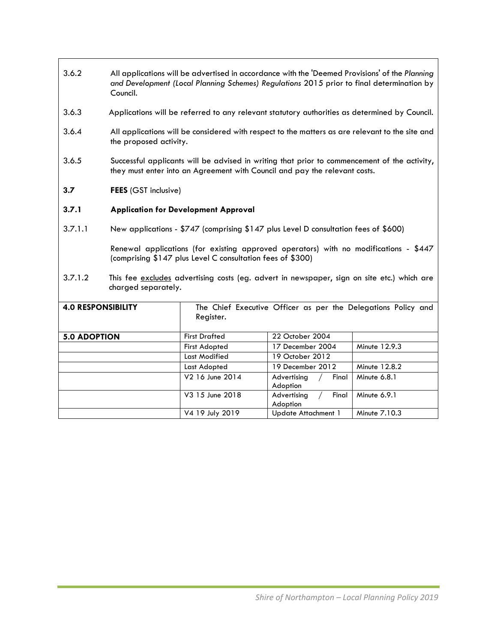- 3.6.2 All applications will be advertised in accordance with the 'Deemed Provisions' of the *Planning and Development (Local Planning Schemes) Regulations* 2015 prior to final determination by Council.
- 3.6.3 Applications will be referred to any relevant statutory authorities as determined by Council.
- 3.6.4 All applications will be considered with respect to the matters as are relevant to the site and the proposed activity.
- 3.6.5 Successful applicants will be advised in writing that prior to commencement of the activity, they must enter into an Agreement with Council and pay the relevant costs.
- **3.7 FEES** (GST inclusive)

# **3.7.1 Application for Development Approval**

3.7.1.1 New applications - \$747 (comprising \$147 plus Level D consultation fees of \$600)

Renewal applications (for existing approved operators) with no modifications - \$447 (comprising \$147 plus Level C consultation fees of \$300)

3.7.1.2 This fee excludes advertising costs (eg. advert in newspaper, sign on site etc.) which are charged separately.

| <b>4.0 RESPONSIBILITY</b> | Register.            | The Chief Executive Officer as per the Delegations Policy and |               |
|---------------------------|----------------------|---------------------------------------------------------------|---------------|
| <b>5.0 ADOPTION</b>       | <b>First Drafted</b> | 22 October 2004                                               |               |
|                           | First Adopted        | 17 December 2004                                              | Minute 12.9.3 |
|                           | Last Modified        | 19 October 2012                                               |               |
|                           | Last Adopted         | 19 December 2012                                              | Minute 12.8.2 |
|                           | V2 16 June 2014      | Advertising<br>Final<br>Adoption                              | Minute 6.8.1  |
|                           | V3 15 June 2018      | Final<br>Advertising<br>Adoption                              | Minute 6.9.1  |
|                           | V4 19 July 2019      | Update Attachment 1                                           | Minute 7.10.3 |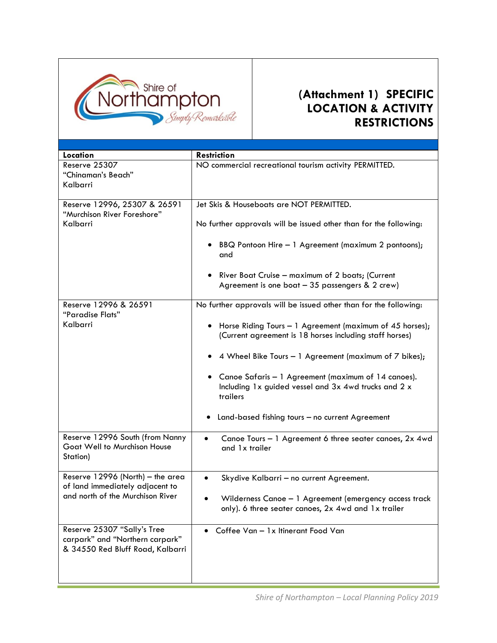

# **(Attachment 1) SPECIFIC LOCATION & ACTIVITY RESTRICTIONS**

| Location                                                                                                | <b>Restriction</b>                                                                                                                                                                                                                                                                                                                                                                                                               |
|---------------------------------------------------------------------------------------------------------|----------------------------------------------------------------------------------------------------------------------------------------------------------------------------------------------------------------------------------------------------------------------------------------------------------------------------------------------------------------------------------------------------------------------------------|
| Reserve 25307<br>"Chinaman's Beach"<br>Kalbarri                                                         | NO commercial recreational tourism activity PERMITTED.                                                                                                                                                                                                                                                                                                                                                                           |
| Reserve 12996, 25307 & 26591<br>"Murchison River Foreshore"<br>Kalbarri                                 | Jet Skis & Houseboats are NOT PERMITTED.<br>No further approvals will be issued other than for the following:<br>BBQ Pontoon Hire - 1 Agreement (maximum 2 pontoons);<br>$\bullet$<br>and<br>River Boat Cruise - maximum of 2 boats; (Current<br>Agreement is one boat $-35$ passengers & 2 crew)                                                                                                                                |
| Reserve 12996 & 26591<br>"Paradise Flats"<br>Kalbarri                                                   | No further approvals will be issued other than for the following:<br>Horse Riding Tours - 1 Agreement (maximum of 45 horses);<br>(Current agreement is 18 horses including staff horses)<br>4 Wheel Bike Tours - 1 Agreement (maximum of 7 bikes);<br>Canoe Safaris - 1 Agreement (maximum of 14 canoes).<br>Including 1x guided vessel and 3x 4wd trucks and 2 x<br>trailers<br>Land-based fishing tours - no current Agreement |
| Reserve 12996 South (from Nanny<br>Goat Well to Murchison House<br>Station)                             | Canoe Tours - 1 Agreement 6 three seater canoes, 2x 4wd<br>$\bullet$<br>and 1x trailer                                                                                                                                                                                                                                                                                                                                           |
| Reserve 12996 (North) - the area<br>of land immediately adjacent to<br>and north of the Murchison River | Skydive Kalbarri - no current Agreement.<br>$\bullet$<br>Wilderness Canoe - 1 Agreement (emergency access track<br>only). 6 three seater canoes, 2x 4wd and 1x trailer                                                                                                                                                                                                                                                           |
| Reserve 25307 "Sally's Tree<br>carpark" and "Northern carpark"<br>& 34550 Red Bluff Road, Kalbarri      | Coffee Van - 1x Itinerant Food Van                                                                                                                                                                                                                                                                                                                                                                                               |